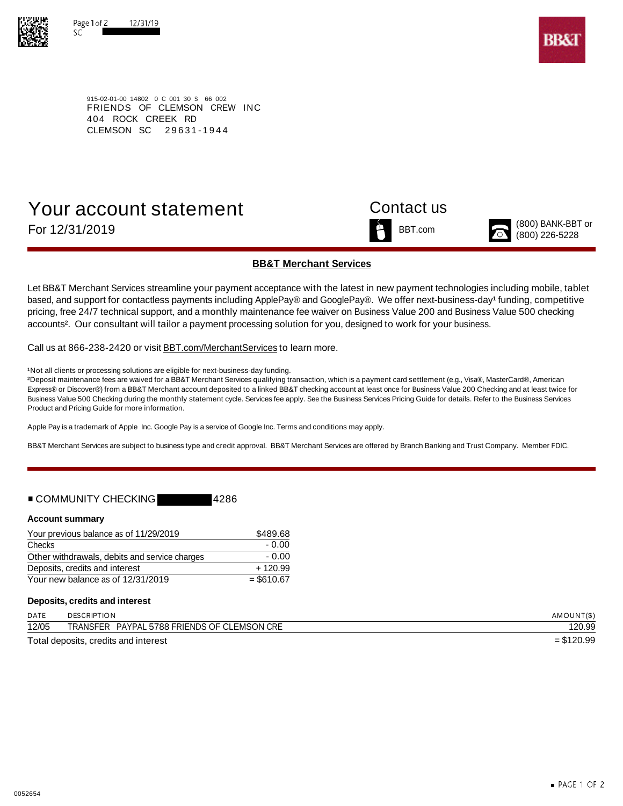



915-02-01-00 14802 0 C 001 30 S 66 002 FRIENDS OF CLEMSON CREW INC 404 ROCK CREEK RD CLEMSON SC 29631-1944

# Your account statement Contact us For 12/31/2019  $\sum_{(800) \text{ BANK-BBT or}}^{(800) \text{ BANK-BBT or}}$



## **BB&T Merchant Services**

Let BB&T Merchant Services streamline your payment acceptance with the latest in new payment technologies including mobile, tablet based, and support for contactless payments including ApplePay® and GooglePay®. We offer next-business-day<sup>1</sup> funding, competitive pricing, free 24/7 technical support, and a monthly maintenance fee waiver on Business Value 200 and Business Value 500 checking accounts<sup>2</sup>. Our consultant will tailor a payment processing solution for you, designed to work for your business.

Call us at 866-238-2420 or visit BBT.com/MerchantServices to learn more.

<sup>1</sup>Not all clients or processing solutions are eligible for next-business-day funding.

²Deposit maintenance fees are waived for a BB&T Merchant Services qualifying transaction, which is a payment card settlement (e.g., Visa®, MasterCard®, American Express® or Discover®) from a BB&T Merchant account deposited to a linked BB&T checking account at least once for Business Value 200 Checking and at least twice for Business Value 500 Checking during the monthly statement cycle. Services fee apply. See the Business Services Pricing Guide for details. Refer to the Business Services Product and Pricing Guide for more information.

Apple Pay is a trademark of Apple Inc. Google Pay is a service of Google Inc. Terms and conditions may apply.

BB&T Merchant Services are subject to business type and credit approval. BB&T Merchant Services are offered by Branch Banking and Trust Company. Member FDIC.

## ■ COMMUNITY CHECKING 4286

### **Account summary**

| Your previous balance as of 11/29/2019        | \$489.68    |  |  |
|-----------------------------------------------|-------------|--|--|
| Checks                                        | - 0.00      |  |  |
| Other withdrawals, debits and service charges | - 0.00      |  |  |
| Deposits, credits and interest                | $+120.99$   |  |  |
| Your new balance as of 12/31/2019             | $= $610.67$ |  |  |

### **Deposits, credits and interest**

| <b>DATE</b> | <b>DESCRIPTION</b>                             | AMOUNT(\$)   |
|-------------|------------------------------------------------|--------------|
| 12/05       | PAYPAL 5788 FRIENDS OF CLEMSON CRE<br>TRANSFER | 20.99        |
|             | Total deposits, credits and interest           | $=$ \$120.99 |

ueposits, credits and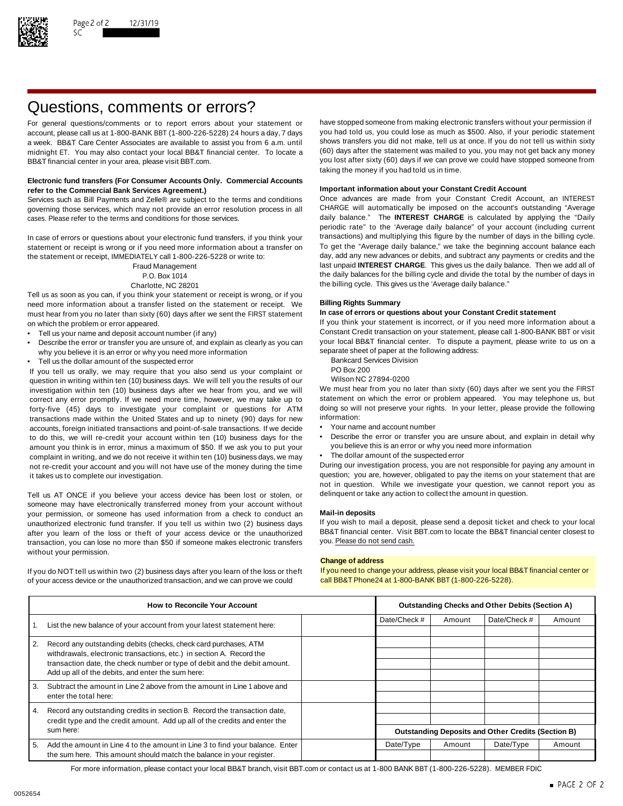

# Questions, comments or errors?

account, please call us at 1-800-BANK BBT (1-800-226-5228) 24 hours a day, 7 days midnight ET. You may also contact your local BB&T financial center. To locate a BB&T financial center in your area, please visit BBT.com. The state of the state of the state of the state of the state of the state of the state of the state of the state of the state of the state of the state of the stat

### **Electronic fund transfers (For Consumer Accounts Only. Commercial Accounts Important information about your Constant Credit Account refer to the Commercial Bank Services Agreement.)**

governing those services, which may not provide an error resolution process in all CHARGE will automatically be imposed on the account's outstanding "Average cases. Please refer to the terms and conditions for those services. daily balance." The **INTEREST CHARGE** is calculated by applying the "Daily

statement or receipt is wrong or if you need more information about a transfer on To get the "Average daily balance," we take the beginning account balance each<br>the statement or receipt IMMFDIATFLY call 1-800-226-5228 or w the statement or receipt, IMMEDIATELY call 1-800-226-5228 or write to:

Tell us as soon as you can, if you think your statement or receipt is wrong, or if you need more information about a transfer listed on the statement or receipt. We **Billing Rights Summary** must hear from you no later than sixty (60) days after we sent the FIRST statement on which the problem or error appeared. If you think your statement is incorrect, or if you need more information about a

- 
- Describe the error or transfer you are unsure of, and explain as clearly as you can your local BB&T financial center. To dispute a why you believe it is an error or why you need more information why you believe it is an error or why you need more information<br>Tell us the dollar amount of the suspected error and the following address Division
- Fell us the dollar amount of the suspected error<br>Vou tell us orally we may require that you also send us your complaint or BO Box 200

If you tell us orally, we may require that you also send us your complaint or PO Box 200<br>question in writing within ten (10) business days. We will tell you the results of our Wilson NC 27894-0200 question in writing within ten (10) business days. We will tell you the results of our Wilson NC 27894-0200<br>investigation within ten (10) business days after we hear from you, and we will We must hear from you no later tha investigation within ten (10) business days after we hear from you, and we will We must hear from you no later than sixty (60) days after we sent you the FIRST<br>correct any error promptly. If we need more time, however, we correct any error promptly. If we need more time, however, we may take up to statement on which the error or problem appeared. You may telephone us, but If or the endlowing to the more time, however, we may take up to the forty-five (45) days to investigate your complaint or questions for ATM doing so will<br>transactions made within the United States and up to pinety (90) days for new information: transactions made within the United States and up to ninety (90) days for new information:<br>accounts foreign initiated transactions and point-of-sale transactions. If we decide • Your name and account number accounts, foreign initiated transactions and point-of-sale transactions. If we decide to do this, we will re-credit your account within ten (10) business days for the • Describe the error or transfer you are unsure about, and explain in detail why<br>amount you think is in error, minus a maximum of \$50. If we amount you think is in error, minus a maximum of \$50. If we ask you to put your complaint in writing, and we do not receive it within ten (10) business days, we may • The dollar amount of the suspected error not re-credit your account and you will not have use of the money during the time During our investigation process, you are not responsible for paying any amount in

Tell us AT ONCE if you believe your access device has been lost or stolen, or delinquent or take any action to collect the amount in question. someone may have electronically transferred money from your account without your permission, or someone has used information from a check to conduct an **Mail-in deposits** unauthorized electronic fund transfer. If you tell us within two (2) business days If you wish to mail a deposit, please send a deposit ticket and check to your local after vou learn of the loss or theft of your access dev after you learn of the loss or theft of your access device or the unauthorized BB&T financial center. Visit l<br>transaction, you can lose no more than \$50 if someone makes electronic transfers you. Please do not send cash. transaction, you can lose no more than \$50 if someone makes electronic transfers without your permission.

If you do NOT tell us within two (2) business days after you learn of the loss or theft If you need to change your address, please visit your local BB&T financial center or of your access device or the unauthorized transaction, and we can prove we could call BB&T Phone24 at 1-800-BANK BBT (1-800-226-5228).

For general questions/comments or to report errors about your statement or have stopped someone from making electronic transfers without your permission if account please call us at 1-800-BANK BBT (1-800-226-5228) 24 hours a week. BB&T Care Center Associates are available to assist you from 6 a.m. until shows transfers you did not make, tell us at once. If you do not tell us within sixty<br>midnight FT You may also contact your local BB&T finan taking the money if you had told us in time.

Services such as Bill Payments and Zelle® are subject to the terms and conditions Once advances are made from your Constant Credit Account, an INTEREST periodic rate" to the 'Average daily balance" of your account (including current In case of errors or questions about your electronic fund transfers, if you think your transactions) and multiplying this figure by the number of days in the billing cycle.<br>Statement or receipt is wrong or if you need more Fraud Management last unpaid **INTEREST CHARGE**. This gives us the daily balance. Then we add all of P.O. Box 1014 the daily balances for the billing cycle and divide the total by the number of days in Charlotte, NC 28201 **the billing cycle.** This gives us the 'Average daily balance."

Tell us your name and deposit account number (if any) excluding the constant Credit transaction on your statement, please call 1-800-BANK BBT or visit • Tell us your inclusive to us on a payment, please write to us on a

- 
- 
- 

- 
- 
- 

it takes us to complete our investigation. The statement of the statement that are question; you are, however, obligated to pay the items on your statement that are not in question. While we investigate your question, we cannot report you as

### **Change of address**

| <b>How to Reconcile Your Account</b> |                                                                                                                                                   | <b>Outstanding Checks and Other Debits (Section A)</b>    |           |              |           |        |
|--------------------------------------|---------------------------------------------------------------------------------------------------------------------------------------------------|-----------------------------------------------------------|-----------|--------------|-----------|--------|
|                                      | List the new balance of your account from your latest statement here:                                                                             | Date/Check #                                              | Amount    | Date/Check # | Amount    |        |
|                                      |                                                                                                                                                   |                                                           |           |              |           |        |
| $\overline{2}$ .                     | Record any outstanding debits (checks, check card purchases, ATM                                                                                  |                                                           |           |              |           |        |
|                                      | withdrawals, electronic transactions, etc.) in section A. Record the<br>transaction date, the check number or type of debit and the debit amount. |                                                           |           |              |           |        |
|                                      |                                                                                                                                                   |                                                           |           |              |           |        |
|                                      | Add up all of the debits, and enter the sum here:                                                                                                 |                                                           |           |              |           |        |
| 3.                                   | Subtract the amount in Line 2 above from the amount in Line 1 above and                                                                           |                                                           |           |              |           |        |
|                                      | enter the total here:                                                                                                                             |                                                           |           |              |           |        |
| $\overline{4}$ .                     | Record any outstanding credits in section B. Record the transaction date,                                                                         |                                                           |           |              |           |        |
|                                      | credit type and the credit amount. Add up all of the credits and enter the<br>sum here:                                                           |                                                           |           |              |           |        |
|                                      |                                                                                                                                                   | <b>Outstanding Deposits and Other Credits (Section B)</b> |           |              |           |        |
| 5.                                   | Add the amount in Line 4 to the amount in Line 3 to find your balance. Enter                                                                      |                                                           | Date/Type | Amount       | Date/Type | Amount |
|                                      | the sum here. This amount should match the balance in your register.                                                                              |                                                           |           |              |           |        |

For more information, please contact your local BB&T branch, visit BBT.com or contact us at 1-800 BANK BBT (1-800-226-5228). MEMBER FDIC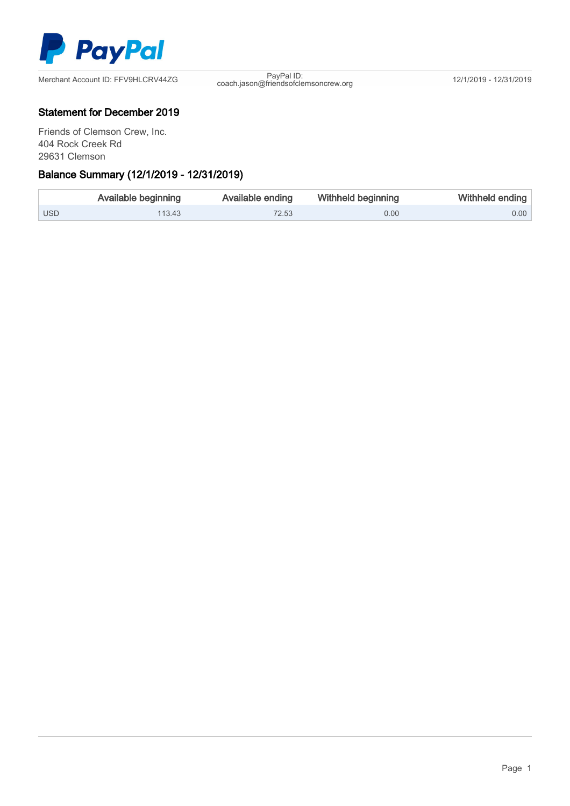

coach.jason@friendsofclemsoncrew.org 12/1/2019 - 12/31/2019

## Statement for December 2019

Friends of Clemson Crew, Inc. 404 Rock Creek Rd 29631 Clemson

## Ξ Balance Summary (12/1/2019 - 12/31/2019)

|            | Available beginning | Available ending | Withheld beginning | Withheld ending   |
|------------|---------------------|------------------|--------------------|-------------------|
| <b>USD</b> | 113.43              | 72.53            | 0.00               | 0.00 <sub>1</sub> |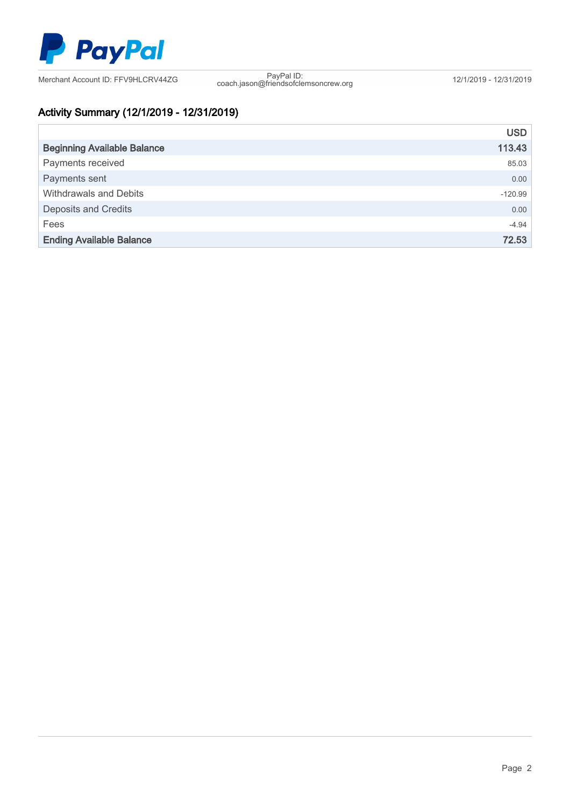

coach.jason@friendsofclemsoncrew.org 12/1/2019 - 12/31/2019

# Activity Summary (12/1/2019 - 12/31/2019)

|                                    | <b>USD</b> |
|------------------------------------|------------|
| <b>Beginning Available Balance</b> | 113.43     |
| Payments received                  | 85.03      |
| Payments sent                      | 0.00       |
| Withdrawals and Debits             | $-120.99$  |
| <b>Deposits and Credits</b>        | 0.00       |
| Fees                               | $-4.94$    |
| <b>Ending Available Balance</b>    | 72.53      |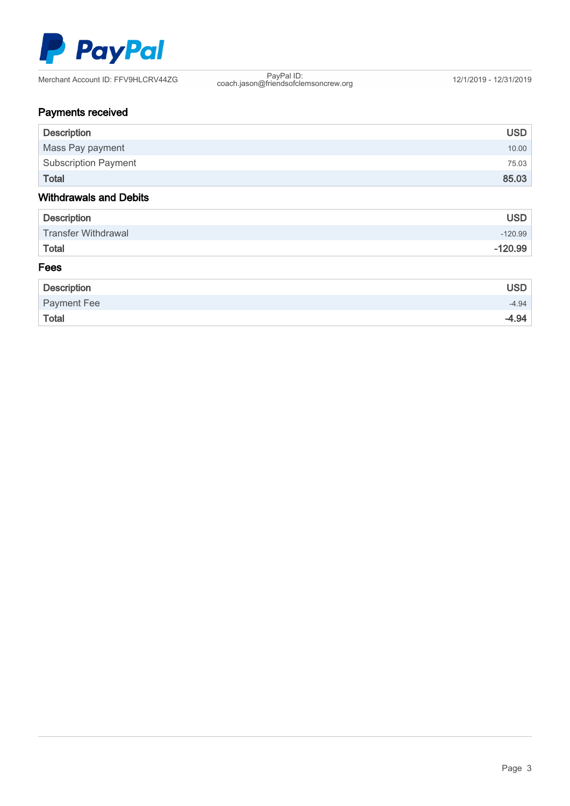

coach.jason@friendsofclemsoncrew.org 12/1/2019 - 12/31/2019

# Payments received

| <b>Description</b>            | <b>USD</b> |
|-------------------------------|------------|
| Mass Pay payment              | 10.00      |
| <b>Subscription Payment</b>   | 75.03      |
| <b>Total</b>                  | 85.03      |
| <b>Withdrawals and Debits</b> |            |
| <b>Description</b>            | <b>USD</b> |
| <b>Transfer Withdrawal</b>    | $-120.99$  |
| <b>Total</b>                  | $-120.99$  |
| Fees                          |            |

## Description USD Payment Fee -4.94 Total -4.94